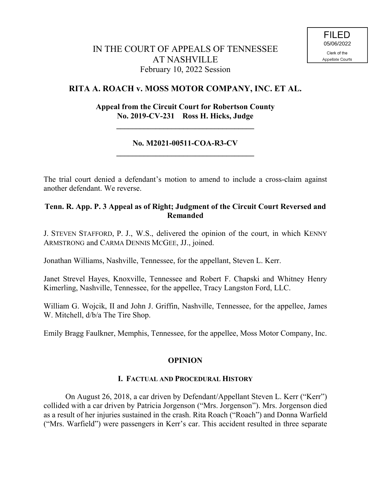# **RITA A. ROACH v. MOSS MOTOR COMPANY, INC. ET AL.**

# **Appeal from the Circuit Court for Robertson County No. 2019-CV-231 Ross H. Hicks, Judge**

**\_\_\_\_\_\_\_\_\_\_\_\_\_\_\_\_\_\_\_\_\_\_\_\_\_\_\_\_\_\_\_\_\_\_\_**

## **No. M2021-00511-COA-R3-CV \_\_\_\_\_\_\_\_\_\_\_\_\_\_\_\_\_\_\_\_\_\_\_\_\_\_\_\_\_\_\_\_\_\_\_**

The trial court denied a defendant's motion to amend to include a cross-claim against another defendant. We reverse.

## **Tenn. R. App. P. 3 Appeal as of Right; Judgment of the Circuit Court Reversed and Remanded**

J. STEVEN STAFFORD, P. J., W.S., delivered the opinion of the court, in which KENNY ARMSTRONG and CARMA DENNIS MCGEE, JJ., joined.

Jonathan Williams, Nashville, Tennessee, for the appellant, Steven L. Kerr.

Janet Strevel Hayes, Knoxville, Tennessee and Robert F. Chapski and Whitney Henry Kimerling, Nashville, Tennessee, for the appellee, Tracy Langston Ford, LLC.

William G. Wojcik, II and John J. Griffin, Nashville, Tennessee, for the appellee, James W. Mitchell, d/b/a The Tire Shop.

Emily Bragg Faulkner, Memphis, Tennessee, for the appellee, Moss Motor Company, Inc.

### **OPINION**

### **I. FACTUAL AND PROCEDURAL HISTORY**

On August 26, 2018, a car driven by Defendant/Appellant Steven L. Kerr ("Kerr") collided with a car driven by Patricia Jorgenson ("Mrs. Jorgenson"). Mrs. Jorgenson died as a result of her injuries sustained in the crash. Rita Roach ("Roach") and Donna Warfield ("Mrs. Warfield") were passengers in Kerr's car. This accident resulted in three separate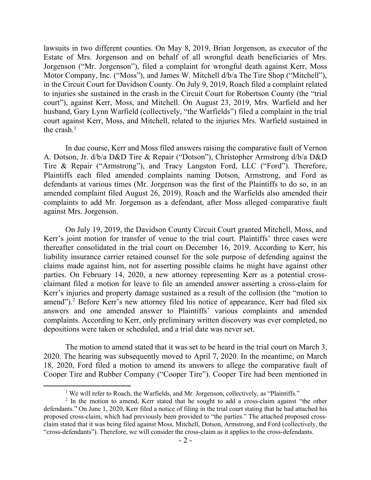lawsuits in two different counties. On May 8, 2019, Brian Jorgenson, as executor of the Estate of Mrs. Jorgenson and on behalf of all wrongful death beneficiaries of Mrs. Jorgenson ("Mr. Jorgenson"), filed a complaint for wrongful death against Kerr, Moss Motor Company, Inc. ("Moss"), and James W. Mitchell d/b/a The Tire Shop ("Mitchell"), in the Circuit Court for Davidson County. On July 9, 2019, Roach filed a complaint related to injuries she sustained in the crash in the Circuit Court for Robertson County (the "trial court"), against Kerr, Moss, and Mitchell. On August 23, 2019, Mrs. Warfield and her husband, Gary Lynn Warfield (collectively, "the Warfields") filed a complaint in the trial court against Kerr, Moss, and Mitchell, related to the injuries Mrs. Warfield sustained in the crash. $<sup>1</sup>$ </sup>

In due course, Kerr and Moss filed answers raising the comparative fault of Vernon A. Dotson, Jr. d/b/a D&D Tire & Repair ("Dotson"), Christopher Armstrong d/b/a D&D Tire & Repair ("Armstrong"), and Tracy Langston Ford, LLC ("Ford"). Therefore, Plaintiffs each filed amended complaints naming Dotson, Armstrong, and Ford as defendants at various times (Mr. Jorgenson was the first of the Plaintiffs to do so, in an amended complaint filed August 26, 2019). Roach and the Warfields also amended their complaints to add Mr. Jorgenson as a defendant, after Moss alleged comparative fault against Mrs. Jorgenson.

On July 19, 2019, the Davidson County Circuit Court granted Mitchell, Moss, and Kerr's joint motion for transfer of venue to the trial court. Plaintiffs' three cases were thereafter consolidated in the trial court on December 16, 2019. According to Kerr, his liability insurance carrier retained counsel for the sole purpose of defending against the claims made against him, not for asserting possible claims he might have against other parties. On February 14, 2020, a new attorney representing Kerr as a potential crossclaimant filed a motion for leave to file an amended answer asserting a cross-claim for Kerr's injuries and property damage sustained as a result of the collision (the "motion to amend").<sup>2</sup> Before Kerr's new attorney filed his notice of appearance, Kerr had filed six answers and one amended answer to Plaintiffs' various complaints and amended complaints. According to Kerr, only preliminary written discovery was ever completed, no depositions were taken or scheduled, and a trial date was never set.

The motion to amend stated that it was set to be heard in the trial court on March 3, 2020. The hearing was subsequently moved to April 7, 2020. In the meantime, on March 18, 2020, Ford filed a motion to amend its answers to allege the comparative fault of Cooper Tire and Rubber Company ("Cooper Tire"). Cooper Tire had been mentioned in

 $\overline{a}$ 

<sup>&</sup>lt;sup>1</sup> We will refer to Roach, the Warfields, and Mr. Jorgenson, collectively, as "Plaintiffs."

 $2$  In the motion to amend, Kerr stated that he sought to add a cross-claim against "the other defendants." On June 1, 2020, Kerr filed a notice of filing in the trial court stating that he had attached his proposed cross-claim, which had previously been provided to "the parties." The attached proposed crossclaim stated that it was being filed against Moss, Mitchell, Dotson, Armstrong, and Ford (collectively, the "cross-defendants"). Therefore, we will consider the cross-claim as it applies to the cross-defendants.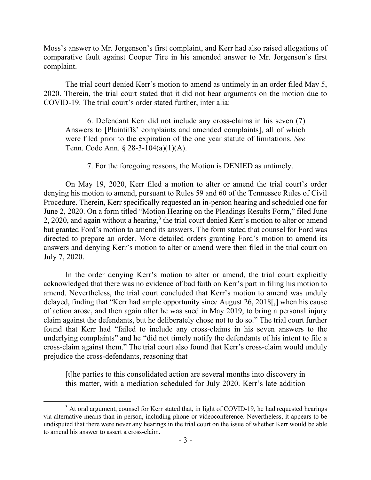Moss's answer to Mr. Jorgenson's first complaint, and Kerr had also raised allegations of comparative fault against Cooper Tire in his amended answer to Mr. Jorgenson's first complaint.

The trial court denied Kerr's motion to amend as untimely in an order filed May 5, 2020. Therein, the trial court stated that it did not hear arguments on the motion due to COVID-19. The trial court's order stated further, inter alia:

6. Defendant Kerr did not include any cross-claims in his seven (7) Answers to [Plaintiffs' complaints and amended complaints], all of which were filed prior to the expiration of the one year statute of limitations. *See* Tenn. Code Ann. § 28-3-104(a)(1)(A).

7. For the foregoing reasons, the Motion is DENIED as untimely.

On May 19, 2020, Kerr filed a motion to alter or amend the trial court's order denying his motion to amend, pursuant to Rules 59 and 60 of the Tennessee Rules of Civil Procedure. Therein, Kerr specifically requested an in-person hearing and scheduled one for June 2, 2020. On a form titled "Motion Hearing on the Pleadings Results Form," filed June  $2, 2020$ , and again without a hearing, $3$  the trial court denied Kerr's motion to alter or amend but granted Ford's motion to amend its answers. The form stated that counsel for Ford was directed to prepare an order. More detailed orders granting Ford's motion to amend its answers and denying Kerr's motion to alter or amend were then filed in the trial court on July 7, 2020.

In the order denying Kerr's motion to alter or amend, the trial court explicitly acknowledged that there was no evidence of bad faith on Kerr's part in filing his motion to amend. Nevertheless, the trial court concluded that Kerr's motion to amend was unduly delayed, finding that "Kerr had ample opportunity since August 26, 2018[,] when his cause of action arose, and then again after he was sued in May 2019, to bring a personal injury claim against the defendants, but he deliberately chose not to do so." The trial court further found that Kerr had "failed to include any cross-claims in his seven answers to the underlying complaints" and he "did not timely notify the defendants of his intent to file a cross-claim against them." The trial court also found that Kerr's cross-claim would unduly prejudice the cross-defendants, reasoning that

[t]he parties to this consolidated action are several months into discovery in this matter, with a mediation scheduled for July 2020. Kerr's late addition

 $3$  At oral argument, counsel for Kerr stated that, in light of COVID-19, he had requested hearings via alternative means than in person, including phone or videoconference. Nevertheless, it appears to be undisputed that there were never any hearings in the trial court on the issue of whether Kerr would be able to amend his answer to assert a cross-claim.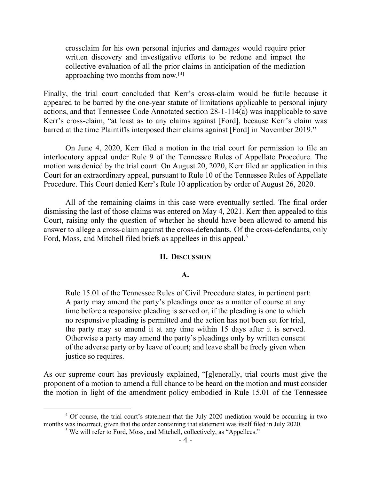crossclaim for his own personal injuries and damages would require prior written discovery and investigative efforts to be redone and impact the collective evaluation of all the prior claims in anticipation of the mediation approaching two months from now.[4]

Finally, the trial court concluded that Kerr's cross-claim would be futile because it appeared to be barred by the one-year statute of limitations applicable to personal injury actions, and that Tennessee Code Annotated section 28-1-114(a) was inapplicable to save Kerr's cross-claim, "at least as to any claims against [Ford], because Kerr's claim was barred at the time Plaintiffs interposed their claims against [Ford] in November 2019."

On June 4, 2020, Kerr filed a motion in the trial court for permission to file an interlocutory appeal under Rule 9 of the Tennessee Rules of Appellate Procedure. The motion was denied by the trial court. On August 20, 2020, Kerr filed an application in this Court for an extraordinary appeal, pursuant to Rule 10 of the Tennessee Rules of Appellate Procedure. This Court denied Kerr's Rule 10 application by order of August 26, 2020.

All of the remaining claims in this case were eventually settled. The final order dismissing the last of those claims was entered on May 4, 2021. Kerr then appealed to this Court, raising only the question of whether he should have been allowed to amend his answer to allege a cross-claim against the cross-defendants. Of the cross-defendants, only Ford, Moss, and Mitchell filed briefs as appellees in this appeal.<sup>5</sup>

### **II. DISCUSSION**

#### **A.**

Rule 15.01 of the Tennessee Rules of Civil Procedure states, in pertinent part: A party may amend the party's pleadings once as a matter of course at any time before a responsive pleading is served or, if the pleading is one to which no responsive pleading is permitted and the action has not been set for trial, the party may so amend it at any time within 15 days after it is served. Otherwise a party may amend the party's pleadings only by written consent of the adverse party or by leave of court; and leave shall be freely given when justice so requires.

As our supreme court has previously explained, "[g]enerally, trial courts must give the proponent of a motion to amend a full chance to be heard on the motion and must consider the motion in light of the amendment policy embodied in Rule 15.01 of the Tennessee

<sup>&</sup>lt;sup>4</sup> Of course, the trial court's statement that the July 2020 mediation would be occurring in two months was incorrect, given that the order containing that statement was itself filed in July 2020.

<sup>&</sup>lt;sup>5</sup> We will refer to Ford, Moss, and Mitchell, collectively, as "Appellees."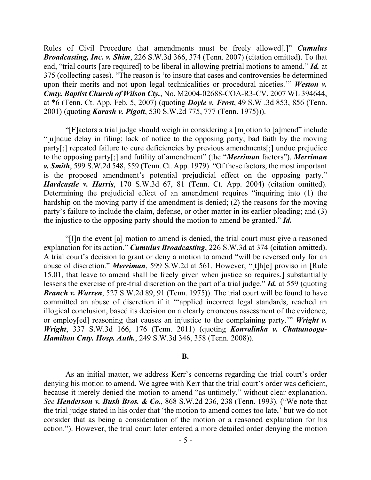Rules of Civil Procedure that amendments must be freely allowed[.]" *Cumulus Broadcasting, Inc. v. Shim*, 226 S.W.3d 366, 374 (Tenn. 2007) (citation omitted). To that end, "trial courts [are required] to be liberal in allowing pretrial motions to amend." *Id.* at 375 (collecting cases). "The reason is 'to insure that cases and controversies be determined upon their merits and not upon legal technicalities or procedural niceties.'" *Weston v. Cmty. Baptist Church of Wilson Cty.*, No. M2004-02688-COA-R3-CV, 2007 WL 394644, at \*6 (Tenn. Ct. App. Feb. 5, 2007) (quoting *Doyle v. Frost*, 49 S.W .3d 853, 856 (Tenn. 2001) (quoting *Karash v. Pigott*, 530 S.W.2d 775, 777 (Tenn. 1975))).

"[F]actors a trial judge should weigh in considering a [m]otion to [a]mend" include "[u]ndue delay in filing; lack of notice to the opposing party; bad faith by the moving party[;] repeated failure to cure deficiencies by previous amendments[;] undue prejudice to the opposing party[;] and futility of amendment" (the "*Merriman* factors"). *Merriman v. Smith*, 599 S.W.2d 548, 559 (Tenn. Ct. App. 1979). "Of these factors, the most important is the proposed amendment's potential prejudicial effect on the opposing party." *Hardcastle v. Harris*, 170 S.W.3d 67, 81 (Tenn. Ct. App. 2004) (citation omitted). Determining the prejudicial effect of an amendment requires "inquiring into (1) the hardship on the moving party if the amendment is denied; (2) the reasons for the moving party's failure to include the claim, defense, or other matter in its earlier pleading; and (3) the injustice to the opposing party should the motion to amend be granted." *Id.*

"[I]n the event [a] motion to amend is denied, the trial court must give a reasoned explanation for its action." *Cumulus Broadcasting*, 226 S.W.3d at 374 (citation omitted). A trial court's decision to grant or deny a motion to amend "will be reversed only for an abuse of discretion." *Merriman*, 599 S.W.2d at 561. However, "[t]h[e] proviso in [Rule 15.01, that leave to amend shall be freely given when justice so requires,] substantially lessens the exercise of pre-trial discretion on the part of a trial judge." *Id.* at 559 (quoting *Branch v. Warren*, 527 S.W.2d 89, 91 (Tenn. 1975)). The trial court will be found to have committed an abuse of discretion if it "'applied incorrect legal standards, reached an illogical conclusion, based its decision on a clearly erroneous assessment of the evidence, or employ[ed] reasoning that causes an injustice to the complaining party.'" *Wright v. Wright*, 337 S.W.3d 166, 176 (Tenn. 2011) (quoting *Konvalinka v. Chattanooga-Hamilton Cnty. Hosp. Auth.*, 249 S.W.3d 346, 358 (Tenn. 2008)).

### **B.**

As an initial matter, we address Kerr's concerns regarding the trial court's order denying his motion to amend. We agree with Kerr that the trial court's order was deficient, because it merely denied the motion to amend "as untimely," without clear explanation. *See Henderson v. Bush Bros. & Co.*, 868 S.W.2d 236, 238 (Tenn. 1993). ("We note that the trial judge stated in his order that 'the motion to amend comes too late,' but we do not consider that as being a consideration of the motion or a reasoned explanation for his action."). However, the trial court later entered a more detailed order denying the motion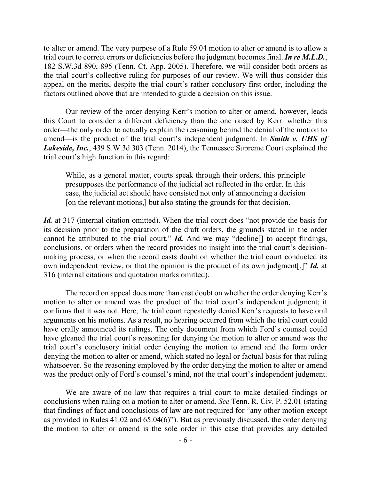to alter or amend. The very purpose of a Rule 59.04 motion to alter or amend is to allow a trial court to correct errors or deficiencies before the judgment becomes final. *In re M.L.D.*, 182 S.W.3d 890, 895 (Tenn. Ct. App. 2005). Therefore, we will consider both orders as the trial court's collective ruling for purposes of our review. We will thus consider this appeal on the merits, despite the trial court's rather conclusory first order, including the factors outlined above that are intended to guide a decision on this issue.

Our review of the order denying Kerr's motion to alter or amend, however, leads this Court to consider a different deficiency than the one raised by Kerr: whether this order—the only order to actually explain the reasoning behind the denial of the motion to amend—is the product of the trial court's independent judgment. In *Smith v. UHS of Lakeside, Inc.*, 439 S.W.3d 303 (Tenn. 2014), the Tennessee Supreme Court explained the trial court's high function in this regard:

While, as a general matter, courts speak through their orders, this principle presupposes the performance of the judicial act reflected in the order. In this case, the judicial act should have consisted not only of announcing a decision [on the relevant motions,] but also stating the grounds for that decision.

*Id.* at 317 (internal citation omitted). When the trial court does "not provide the basis for its decision prior to the preparation of the draft orders, the grounds stated in the order cannot be attributed to the trial court." *Id.* And we may "decline[] to accept findings, conclusions, or orders when the record provides no insight into the trial court's decisionmaking process, or when the record casts doubt on whether the trial court conducted its own independent review, or that the opinion is the product of its own judgment[.]" *Id.* at 316 (internal citations and quotation marks omitted).

The record on appeal does more than cast doubt on whether the order denying Kerr's motion to alter or amend was the product of the trial court's independent judgment; it confirms that it was not. Here, the trial court repeatedly denied Kerr's requests to have oral arguments on his motions. As a result, no hearing occurred from which the trial court could have orally announced its rulings. The only document from which Ford's counsel could have gleaned the trial court's reasoning for denying the motion to alter or amend was the trial court's conclusory initial order denying the motion to amend and the form order denying the motion to alter or amend, which stated no legal or factual basis for that ruling whatsoever. So the reasoning employed by the order denying the motion to alter or amend was the product only of Ford's counsel's mind, not the trial court's independent judgment.

We are aware of no law that requires a trial court to make detailed findings or conclusions when ruling on a motion to alter or amend. *See* Tenn. R. Civ. P. 52.01 (stating that findings of fact and conclusions of law are not required for "any other motion except as provided in Rules 41.02 and 65.04(6)"). But as previously discussed, the order denying the motion to alter or amend is the sole order in this case that provides any detailed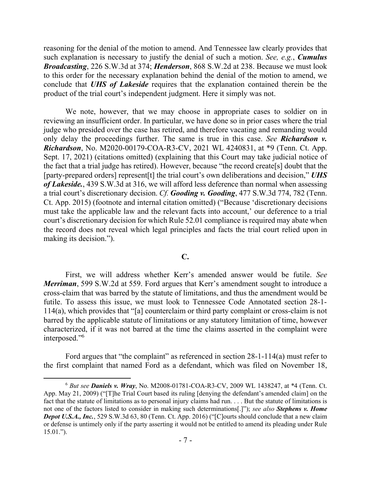reasoning for the denial of the motion to amend. And Tennessee law clearly provides that such explanation is necessary to justify the denial of such a motion. *See, e.g.*, *Cumulus Broadcasting*, 226 S.W.3d at 374; *Henderson*, 868 S.W.2d at 238. Because we must look to this order for the necessary explanation behind the denial of the motion to amend, we conclude that *UHS of Lakeside* requires that the explanation contained therein be the product of the trial court's independent judgment. Here it simply was not.

We note, however, that we may choose in appropriate cases to soldier on in reviewing an insufficient order. In particular, we have done so in prior cases where the trial judge who presided over the case has retired, and therefore vacating and remanding would only delay the proceedings further. The same is true in this case. *See Richardson v. Richardson*, No. M2020-00179-COA-R3-CV, 2021 WL 4240831, at \*9 (Tenn. Ct. App. Sept. 17, 2021) (citations omitted) (explaining that this Court may take judicial notice of the fact that a trial judge has retired). However, because "the record create[s] doubt that the [party-prepared orders] represent[t] the trial court's own deliberations and decision," *UHS of Lakeside.*, 439 S.W.3d at 316, we will afford less deference than normal when assessing a trial court's discretionary decision. *Cf. Gooding v. Gooding*, 477 S.W.3d 774, 782 (Tenn. Ct. App. 2015) (footnote and internal citation omitted) ("Because 'discretionary decisions must take the applicable law and the relevant facts into account,' our deference to a trial court's discretionary decision for which Rule 52.01 compliance is required may abate when the record does not reveal which legal principles and facts the trial court relied upon in making its decision.").

### **C.**

First, we will address whether Kerr's amended answer would be futile. *See Merriman*, 599 S.W.2d at 559. Ford argues that Kerr's amendment sought to introduce a cross-claim that was barred by the statute of limitations, and thus the amendment would be futile. To assess this issue, we must look to Tennessee Code Annotated section 28-1- 114(a), which provides that "[a] counterclaim or third party complaint or cross-claim is not barred by the applicable statute of limitations or any statutory limitation of time, however characterized, if it was not barred at the time the claims asserted in the complaint were interposed." 6

Ford argues that "the complaint" as referenced in section 28-1-114(a) must refer to the first complaint that named Ford as a defendant, which was filed on November 18,

<sup>6</sup> *But see Daniels v. Wray*, No. M2008-01781-COA-R3-CV, 2009 WL 1438247, at \*4 (Tenn. Ct. App. May 21, 2009) ("[T]he Trial Court based its ruling [denying the defendant's amended claim] on the fact that the statute of limitations as to personal injury claims had run. . . . But the statute of limitations is not one of the factors listed to consider in making such determinations[.]"); *see also Stephens v. Home Depot U.S.A., Inc.*, 529 S.W.3d 63, 80 (Tenn. Ct. App. 2016) ("[C]ourts should conclude that a new claim or defense is untimely only if the party asserting it would not be entitled to amend its pleading under Rule 15.01.").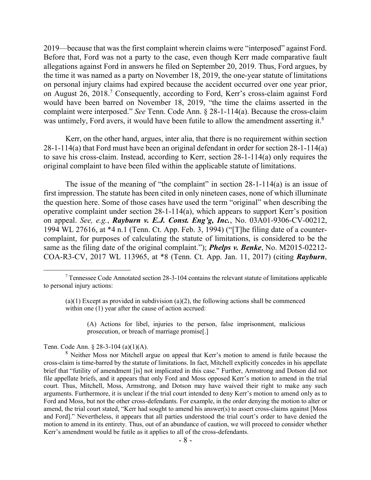2019—because that was the first complaint wherein claims were "interposed" against Ford. Before that, Ford was not a party to the case, even though Kerr made comparative fault allegations against Ford in answers he filed on September 20, 2019. Thus, Ford argues, by the time it was named as a party on November 18, 2019, the one-year statute of limitations on personal injury claims had expired because the accident occurred over one year prior, on August 26, 2018.<sup>7</sup> Consequently, according to Ford, Kerr's cross-claim against Ford would have been barred on November 18, 2019, "the time the claims asserted in the complaint were interposed." *See* Tenn. Code Ann. § 28-1-114(a). Because the cross-claim was untimely, Ford avers, it would have been futile to allow the amendment asserting it.<sup>8</sup>

Kerr, on the other hand, argues, inter alia, that there is no requirement within section 28-1-114(a) that Ford must have been an original defendant in order for section 28-1-114(a) to save his cross-claim. Instead, according to Kerr, section 28-1-114(a) only requires the original complaint to have been filed within the applicable statute of limitations.

The issue of the meaning of "the complaint" in section 28-1-114(a) is an issue of first impression. The statute has been cited in only nineteen cases, none of which illuminate the question here. Some of those cases have used the term "original" when describing the operative complaint under section 28-1-114(a), which appears to support Kerr's position on appeal. *See, e.g.*, *Rayburn v. E.J. Const. Eng'g, Inc.*, No. 03A01-9306-CV-00212, 1994 WL 27616, at \*4 n.1 (Tenn. Ct. App. Feb. 3, 1994) ("[T]he filing date of a countercomplaint, for purposes of calculating the statute of limitations, is considered to be the same as the filing date of the original complaint."); *Phelps v. Benke*, No. M2015-02212- COA-R3-CV, 2017 WL 113965, at \*8 (Tenn. Ct. App. Jan. 11, 2017) (citing *Rayburn*,

(A) Actions for libel, injuries to the person, false imprisonment, malicious prosecution, or breach of marriage promise[.]

Tenn. Code Ann. § 28-3-104 (a)(1)(A).

 $7$  Tennessee Code Annotated section 28-3-104 contains the relevant statute of limitations applicable to personal injury actions:

 $(a)(1)$  Except as provided in subdivision  $(a)(2)$ , the following actions shall be commenced within one (1) year after the cause of action accrued:

<sup>&</sup>lt;sup>8</sup> Neither Moss nor Mitchell argue on appeal that Kerr's motion to amend is futile because the cross-claim is time-barred by the statute of limitations. In fact, Mitchell explicitly concedes in his appellate brief that "futility of amendment [is] not implicated in this case." Further, Armstrong and Dotson did not file appellate briefs, and it appears that only Ford and Moss opposed Kerr's motion to amend in the trial court. Thus, Mitchell, Moss, Armstrong, and Dotson may have waived their right to make any such arguments. Furthermore, it is unclear if the trial court intended to deny Kerr's motion to amend only as to Ford and Moss, but not the other cross-defendants. For example, in the order denying the motion to alter or amend, the trial court stated, "Kerr had sought to amend his answer(s) to assert cross-claims against [Moss and Ford]." Nevertheless, it appears that all parties understood the trial court's order to have denied the motion to amend in its entirety. Thus, out of an abundance of caution, we will proceed to consider whether Kerr's amendment would be futile as it applies to all of the cross-defendants.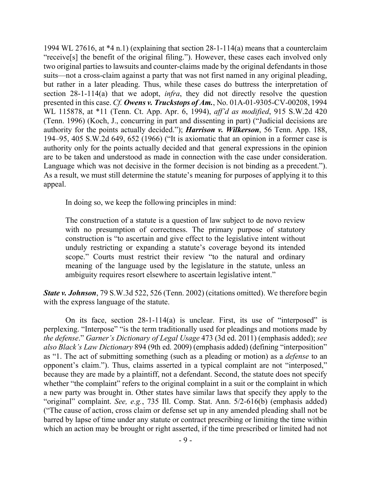1994 WL 27616, at  $*4$  n.1) (explaining that section 28-1-114(a) means that a counterclaim "receive[s] the benefit of the original filing."). However, these cases each involved only two original parties to lawsuits and counter-claims made by the original defendants in those suits—not a cross-claim against a party that was not first named in any original pleading, but rather in a later pleading. Thus, while these cases do buttress the interpretation of section 28-1-114(a) that we adopt, *infra*, they did not directly resolve the question presented in this case. *Cf. Owens v. Truckstops of Am.*, No. 01A-01-9305-CV-00208, 1994 WL 115878, at \*11 (Tenn. Ct. App. Apr. 6, 1994), *aff'd as modified*, 915 S.W.2d 420 (Tenn. 1996) (Koch, J., concurring in part and dissenting in part) ("Judicial decisions are authority for the points actually decided."); *Harrison v. Wilkerson*, 56 Tenn. App. 188, 194–95, 405 S.W.2d 649, 652 (1966) ("It is axiomatic that an opinion in a former case is authority only for the points actually decided and that general expressions in the opinion are to be taken and understood as made in connection with the case under consideration. Language which was not decisive in the former decision is not binding as a precedent."). As a result, we must still determine the statute's meaning for purposes of applying it to this appeal.

In doing so, we keep the following principles in mind:

The construction of a statute is a question of law subject to de novo review with no presumption of correctness. The primary purpose of statutory construction is "to ascertain and give effect to the legislative intent without unduly restricting or expanding a statute's coverage beyond its intended scope." Courts must restrict their review "to the natural and ordinary meaning of the language used by the legislature in the statute, unless an ambiguity requires resort elsewhere to ascertain legislative intent."

*State v. Johnson*, 79 S.W.3d 522, 526 (Tenn. 2002) (citations omitted). We therefore begin with the express language of the statute.

On its face, section 28-1-114(a) is unclear. First, its use of "interposed" is perplexing. "Interpose" "is the term traditionally used for pleadings and motions made by *the defense*." *Garner's Dictionary of Legal Usage* 473 (3d ed. 2011) (emphasis added); *see also Black's Law Dictionary* 894 (9th ed. 2009) (emphasis added) (defining "interposition" as "1. The act of submitting something (such as a pleading or motion) as a *defense* to an opponent's claim."). Thus, claims asserted in a typical complaint are not "interposed," because they are made by a plaintiff, not a defendant. Second, the statute does not specify whether "the complaint" refers to the original complaint in a suit or the complaint in which a new party was brought in. Other states have similar laws that specify they apply to the "original" complaint. *See, e.g.*, 735 Ill. Comp. Stat. Ann. 5/2-616(b) (emphasis added) ("The cause of action, cross claim or defense set up in any amended pleading shall not be barred by lapse of time under any statute or contract prescribing or limiting the time within which an action may be brought or right asserted, if the time prescribed or limited had not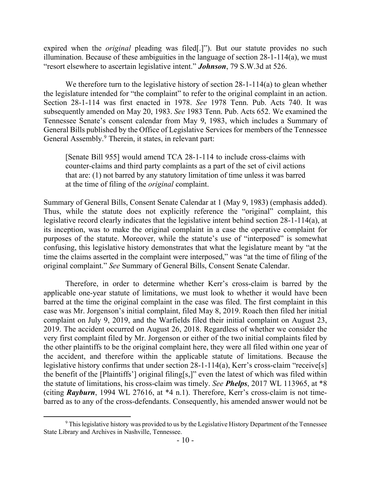expired when the *original* pleading was filed[.]"). But our statute provides no such illumination. Because of these ambiguities in the language of section 28-1-114(a), we must "resort elsewhere to ascertain legislative intent." *Johnson*, 79 S.W.3d at 526.

We therefore turn to the legislative history of section 28-1-114(a) to glean whether the legislature intended for "the complaint" to refer to the original complaint in an action. Section 28-1-114 was first enacted in 1978. *See* 1978 Tenn. Pub. Acts 740. It was subsequently amended on May 20, 1983. *See* 1983 Tenn. Pub. Acts 652. We examined the Tennessee Senate's consent calendar from May 9, 1983, which includes a Summary of General Bills published by the Office of Legislative Services for members of the Tennessee General Assembly.<sup>9</sup> Therein, it states, in relevant part:

[Senate Bill 955] would amend TCA 28-1-114 to include cross-claims with counter-claims and third party complaints as a part of the set of civil actions that are: (1) not barred by any statutory limitation of time unless it was barred at the time of filing of the *original* complaint.

Summary of General Bills, Consent Senate Calendar at 1 (May 9, 1983) (emphasis added). Thus, while the statute does not explicitly reference the "original" complaint, this legislative record clearly indicates that the legislative intent behind section 28-1-114(a), at its inception, was to make the original complaint in a case the operative complaint for purposes of the statute. Moreover, while the statute's use of "interposed" is somewhat confusing, this legislative history demonstrates that what the legislature meant by "at the time the claims asserted in the complaint were interposed," was "at the time of filing of the original complaint." *See* Summary of General Bills, Consent Senate Calendar.

Therefore, in order to determine whether Kerr's cross-claim is barred by the applicable one-year statute of limitations, we must look to whether it would have been barred at the time the original complaint in the case was filed. The first complaint in this case was Mr. Jorgenson's initial complaint, filed May 8, 2019. Roach then filed her initial complaint on July 9, 2019, and the Warfields filed their initial complaint on August 23, 2019. The accident occurred on August 26, 2018. Regardless of whether we consider the very first complaint filed by Mr. Jorgenson or either of the two initial complaints filed by the other plaintiffs to be the original complaint here, they were all filed within one year of the accident, and therefore within the applicable statute of limitations. Because the legislative history confirms that under section 28-1-114(a), Kerr's cross-claim "receive[s] the benefit of the [Plaintiffs'] original filing[s,]" even the latest of which was filed within the statute of limitations, his cross-claim was timely. *See Phelps*, 2017 WL 113965, at \*8 (citing *Rayburn*, 1994 WL 27616, at \*4 n.1). Therefore, Kerr's cross-claim is not timebarred as to any of the cross-defendants. Consequently, his amended answer would not be

<sup>&</sup>lt;sup>9</sup> This legislative history was provided to us by the Legislative History Department of the Tennessee State Library and Archives in Nashville, Tennessee.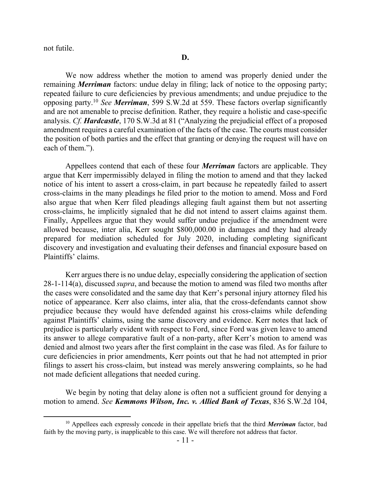not futile.

We now address whether the motion to amend was properly denied under the remaining *Merriman* factors: undue delay in filing; lack of notice to the opposing party; repeated failure to cure deficiencies by previous amendments; and undue prejudice to the opposing party. <sup>10</sup> *See Merriman*, 599 S.W.2d at 559. These factors overlap significantly and are not amenable to precise definition. Rather, they require a holistic and case-specific analysis. *Cf. Hardcastle*, 170 S.W.3d at 81 ("Analyzing the prejudicial effect of a proposed amendment requires a careful examination of the facts of the case. The courts must consider the position of both parties and the effect that granting or denying the request will have on each of them.").

Appellees contend that each of these four *Merriman* factors are applicable. They argue that Kerr impermissibly delayed in filing the motion to amend and that they lacked notice of his intent to assert a cross-claim, in part because he repeatedly failed to assert cross-claims in the many pleadings he filed prior to the motion to amend. Moss and Ford also argue that when Kerr filed pleadings alleging fault against them but not asserting cross-claims, he implicitly signaled that he did not intend to assert claims against them. Finally, Appellees argue that they would suffer undue prejudice if the amendment were allowed because, inter alia, Kerr sought \$800,000.00 in damages and they had already prepared for mediation scheduled for July 2020, including completing significant discovery and investigation and evaluating their defenses and financial exposure based on Plaintiffs' claims.

Kerr argues there is no undue delay, especially considering the application of section 28-1-114(a), discussed *supra*, and because the motion to amend was filed two months after the cases were consolidated and the same day that Kerr's personal injury attorney filed his notice of appearance. Kerr also claims, inter alia, that the cross-defendants cannot show prejudice because they would have defended against his cross-claims while defending against Plaintiffs' claims, using the same discovery and evidence. Kerr notes that lack of prejudice is particularly evident with respect to Ford, since Ford was given leave to amend its answer to allege comparative fault of a non-party, after Kerr's motion to amend was denied and almost two years after the first complaint in the case was filed. As for failure to cure deficiencies in prior amendments, Kerr points out that he had not attempted in prior filings to assert his cross-claim, but instead was merely answering complaints, so he had not made deficient allegations that needed curing.

We begin by noting that delay alone is often not a sufficient ground for denying a motion to amend. *See Kemmons Wilson, Inc. v. Allied Bank of Texas*, 836 S.W.2d 104,

<sup>10</sup> Appellees each expressly concede in their appellate briefs that the third *Merriman* factor, bad faith by the moving party, is inapplicable to this case. We will therefore not address that factor.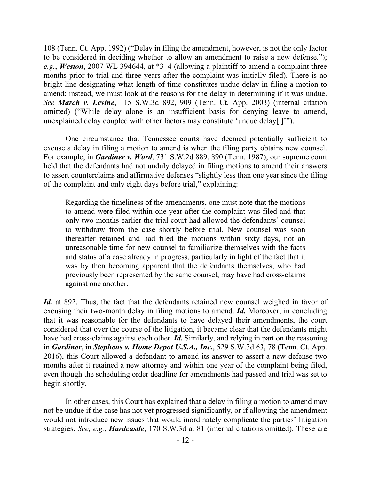108 (Tenn. Ct. App. 1992) ("Delay in filing the amendment, however, is not the only factor to be considered in deciding whether to allow an amendment to raise a new defense."); *e.g.*, *Weston*, 2007 WL 394644, at \*3–4 (allowing a plaintiff to amend a complaint three months prior to trial and three years after the complaint was initially filed). There is no bright line designating what length of time constitutes undue delay in filing a motion to amend; instead, we must look at the reasons for the delay in determining if it was undue. *See March v. Levine*, 115 S.W.3d 892, 909 (Tenn. Ct. App. 2003) (internal citation omitted) ("While delay alone is an insufficient basis for denying leave to amend, unexplained delay coupled with other factors may constitute 'undue delay[.]'").

One circumstance that Tennessee courts have deemed potentially sufficient to excuse a delay in filing a motion to amend is when the filing party obtains new counsel. For example, in *Gardiner v. Word*, 731 S.W.2d 889, 890 (Tenn. 1987), our supreme court held that the defendants had not unduly delayed in filing motions to amend their answers to assert counterclaims and affirmative defenses "slightly less than one year since the filing of the complaint and only eight days before trial," explaining:

Regarding the timeliness of the amendments, one must note that the motions to amend were filed within one year after the complaint was filed and that only two months earlier the trial court had allowed the defendants' counsel to withdraw from the case shortly before trial. New counsel was soon thereafter retained and had filed the motions within sixty days, not an unreasonable time for new counsel to familiarize themselves with the facts and status of a case already in progress, particularly in light of the fact that it was by then becoming apparent that the defendants themselves, who had previously been represented by the same counsel, may have had cross-claims against one another.

*Id.* at 892. Thus, the fact that the defendants retained new counsel weighed in favor of excusing their two-month delay in filing motions to amend. *Id.* Moreover, in concluding that it was reasonable for the defendants to have delayed their amendments, the court considered that over the course of the litigation, it became clear that the defendants might have had cross-claims against each other. *Id.* Similarly, and relying in part on the reasoning in *Gardiner*, in *Stephens v. Home Depot U.S.A., Inc.*, 529 S.W.3d 63, 78 (Tenn. Ct. App. 2016), this Court allowed a defendant to amend its answer to assert a new defense two months after it retained a new attorney and within one year of the complaint being filed, even though the scheduling order deadline for amendments had passed and trial was set to begin shortly.

In other cases, this Court has explained that a delay in filing a motion to amend may not be undue if the case has not yet progressed significantly, or if allowing the amendment would not introduce new issues that would inordinately complicate the parties' litigation strategies. *See, e.g.*, *Hardcastle*, 170 S.W.3d at 81 (internal citations omitted). These are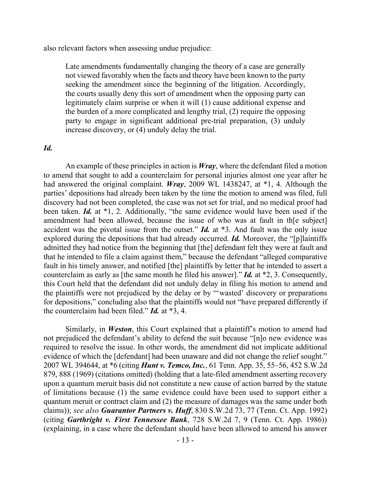also relevant factors when assessing undue prejudice:

Late amendments fundamentally changing the theory of a case are generally not viewed favorably when the facts and theory have been known to the party seeking the amendment since the beginning of the litigation. Accordingly, the courts usually deny this sort of amendment when the opposing party can legitimately claim surprise or when it will (1) cause additional expense and the burden of a more complicated and lengthy trial, (2) require the opposing party to engage in significant additional pre-trial preparation, (3) unduly increase discovery, or (4) unduly delay the trial.

### *Id.*

An example of these principles in action is *Wray*, where the defendant filed a motion to amend that sought to add a counterclaim for personal injuries almost one year after he had answered the original complaint. *Wray*, 2009 WL 1438247, at \*1, 4. Although the parties' depositions had already been taken by the time the motion to amend was filed, full discovery had not been completed, the case was not set for trial, and no medical proof had been taken. *Id.* at \*1, 2. Additionally, "the same evidence would have been used if the amendment had been allowed, because the issue of who was at fault in th[e subject] accident was the pivotal issue from the outset." *Id.* at \*3. And fault was the only issue explored during the depositions that had already occurred. *Id.* Moreover, the "[p]laintiffs admitted they had notice from the beginning that [the] defendant felt they were at fault and that he intended to file a claim against them," because the defendant "alleged comparative fault in his timely answer, and notified [the] plaintiffs by letter that he intended to assert a counterclaim as early as [the same month he filed his answer]." *Id.* at \*2, 3. Consequently, this Court held that the defendant did not unduly delay in filing his motion to amend and the plaintiffs were not prejudiced by the delay or by "'wasted' discovery or preparations for depositions," concluding also that the plaintiffs would not "have prepared differently if the counterclaim had been filed." *Id.* at \*3, 4.

Similarly, in *Weston*, this Court explained that a plaintiff's motion to amend had not prejudiced the defendant's ability to defend the suit because "[n]o new evidence was required to resolve the issue. In other words, the amendment did not implicate additional evidence of which the [defendant] had been unaware and did not change the relief sought." 2007 WL 394644, at \*6 (citing *Hunt v. Temco, Inc.*, 61 Tenn. App. 35, 55–56, 452 S.W.2d 879, 888 (1969) (citations omitted) (holding that a late-filed amendment asserting recovery upon a quantum meruit basis did not constitute a new cause of action barred by the statute of limitations because (1) the same evidence could have been used to support either a quantum meruit or contract claim and (2) the measure of damages was the same under both claims)); *see also Guarantor Partners v. Huff*, 830 S.W.2d 73, 77 (Tenn. Ct. App. 1992) (citing *Garthright v. First Tennessee Bank*, 728 S.W.2d 7, 9 (Tenn. Ct. App. 1986)) (explaining, in a case where the defendant should have been allowed to amend his answer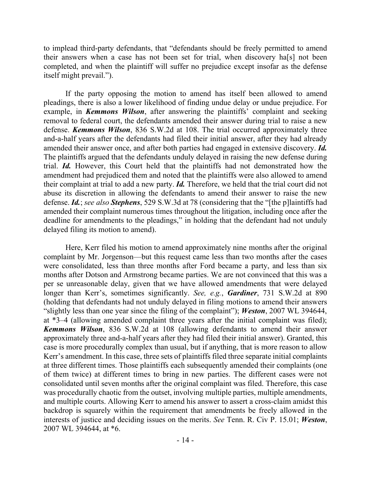to implead third-party defendants, that "defendants should be freely permitted to amend their answers when a case has not been set for trial, when discovery ha[s] not been completed, and when the plaintiff will suffer no prejudice except insofar as the defense itself might prevail.").

If the party opposing the motion to amend has itself been allowed to amend pleadings, there is also a lower likelihood of finding undue delay or undue prejudice. For example, in *Kemmons Wilson*, after answering the plaintiffs' complaint and seeking removal to federal court, the defendants amended their answer during trial to raise a new defense. *Kemmons Wilson*, 836 S.W.2d at 108. The trial occurred approximately three and-a-half years after the defendants had filed their initial answer, after they had already amended their answer once, and after both parties had engaged in extensive discovery. *Id.* The plaintiffs argued that the defendants unduly delayed in raising the new defense during trial. *Id.* However, this Court held that the plaintiffs had not demonstrated how the amendment had prejudiced them and noted that the plaintiffs were also allowed to amend their complaint at trial to add a new party. *Id.* Therefore, we held that the trial court did not abuse its discretion in allowing the defendants to amend their answer to raise the new defense. *Id.*; *see also Stephens*, 529 S.W.3d at 78 (considering that the "[the p]laintiffs had amended their complaint numerous times throughout the litigation, including once after the deadline for amendments to the pleadings," in holding that the defendant had not unduly delayed filing its motion to amend).

Here, Kerr filed his motion to amend approximately nine months after the original complaint by Mr. Jorgenson—but this request came less than two months after the cases were consolidated, less than three months after Ford became a party, and less than six months after Dotson and Armstrong became parties. We are not convinced that this was a per se unreasonable delay, given that we have allowed amendments that were delayed longer than Kerr's, sometimes significantly. *See, e.g.*, *Gardiner*, 731 S.W.2d at 890 (holding that defendants had not unduly delayed in filing motions to amend their answers "slightly less than one year since the filing of the complaint"); *Weston*, 2007 WL 394644, at \*3–4 (allowing amended complaint three years after the initial complaint was filed); *Kemmons Wilson*, 836 S.W.2d at 108 (allowing defendants to amend their answer approximately three and-a-half years after they had filed their initial answer). Granted, this case is more procedurally complex than usual, but if anything, that is more reason to allow Kerr's amendment. In this case, three sets of plaintiffs filed three separate initial complaints at three different times. Those plaintiffs each subsequently amended their complaints (one of them twice) at different times to bring in new parties. The different cases were not consolidated until seven months after the original complaint was filed. Therefore, this case was procedurally chaotic from the outset, involving multiple parties, multiple amendments, and multiple courts. Allowing Kerr to amend his answer to assert a cross-claim amidst this backdrop is squarely within the requirement that amendments be freely allowed in the interests of justice and deciding issues on the merits. *See* Tenn. R. Civ P. 15.01; *Weston*, 2007 WL 394644, at \*6.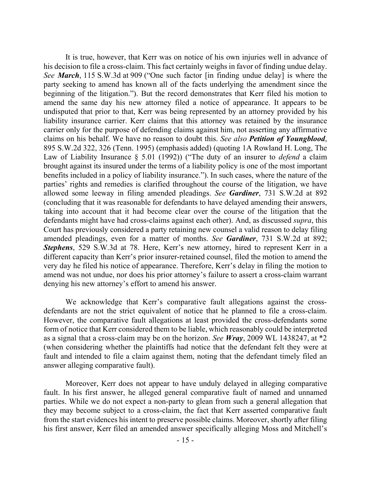It is true, however, that Kerr was on notice of his own injuries well in advance of his decision to file a cross-claim. This fact certainly weighs in favor of finding undue delay. *See March*, 115 S.W.3d at 909 ("One such factor [in finding undue delay] is where the party seeking to amend has known all of the facts underlying the amendment since the beginning of the litigation."). But the record demonstrates that Kerr filed his motion to amend the same day his new attorney filed a notice of appearance. It appears to be undisputed that prior to that, Kerr was being represented by an attorney provided by his liability insurance carrier. Kerr claims that this attorney was retained by the insurance carrier only for the purpose of defending claims against him, not asserting any affirmative claims on his behalf. We have no reason to doubt this. *See also Petition of Youngblood*, 895 S.W.2d 322, 326 (Tenn. 1995) (emphasis added) (quoting 1A Rowland H. Long, The Law of Liability Insurance § 5.01 (1992)) ("The duty of an insurer to *defend* a claim brought against its insured under the terms of a liability policy is one of the most important benefits included in a policy of liability insurance."). In such cases, where the nature of the parties' rights and remedies is clarified throughout the course of the litigation, we have allowed some leeway in filing amended pleadings. *See Gardiner*, 731 S.W.2d at 892 (concluding that it was reasonable for defendants to have delayed amending their answers, taking into account that it had become clear over the course of the litigation that the defendants might have had cross-claims against each other). And, as discussed *supra*, this Court has previously considered a party retaining new counsel a valid reason to delay filing amended pleadings, even for a matter of months. *See Gardiner*, 731 S.W.2d at 892; *Stephens*, 529 S.W.3d at 78. Here, Kerr's new attorney, hired to represent Kerr in a different capacity than Kerr's prior insurer-retained counsel, filed the motion to amend the very day he filed his notice of appearance. Therefore, Kerr's delay in filing the motion to amend was not undue, nor does his prior attorney's failure to assert a cross-claim warrant denying his new attorney's effort to amend his answer.

We acknowledge that Kerr's comparative fault allegations against the crossdefendants are not the strict equivalent of notice that he planned to file a cross-claim. However, the comparative fault allegations at least provided the cross-defendants some form of notice that Kerr considered them to be liable, which reasonably could be interpreted as a signal that a cross-claim may be on the horizon. *See Wray*, 2009 WL 1438247, at \*2 (when considering whether the plaintiffs had notice that the defendant felt they were at fault and intended to file a claim against them, noting that the defendant timely filed an answer alleging comparative fault).

Moreover, Kerr does not appear to have unduly delayed in alleging comparative fault. In his first answer, he alleged general comparative fault of named and unnamed parties. While we do not expect a non-party to glean from such a general allegation that they may become subject to a cross-claim, the fact that Kerr asserted comparative fault from the start evidences his intent to preserve possible claims. Moreover, shortly after filing his first answer, Kerr filed an amended answer specifically alleging Moss and Mitchell's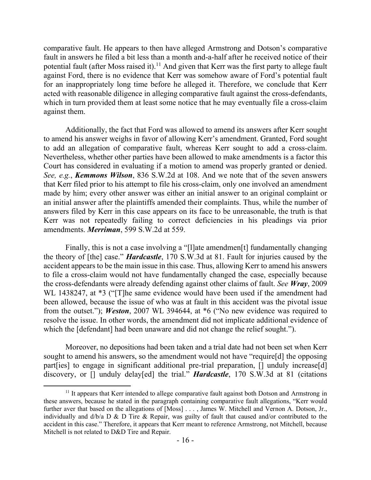comparative fault. He appears to then have alleged Armstrong and Dotson's comparative fault in answers he filed a bit less than a month and-a-half after he received notice of their potential fault (after Moss raised it).<sup>11</sup> And given that Kerr was the first party to allege fault against Ford, there is no evidence that Kerr was somehow aware of Ford's potential fault for an inappropriately long time before he alleged it. Therefore, we conclude that Kerr acted with reasonable diligence in alleging comparative fault against the cross-defendants, which in turn provided them at least some notice that he may eventually file a cross-claim against them.

Additionally, the fact that Ford was allowed to amend its answers after Kerr sought to amend his answer weighs in favor of allowing Kerr's amendment. Granted, Ford sought to add an allegation of comparative fault, whereas Kerr sought to add a cross-claim. Nevertheless, whether other parties have been allowed to make amendments is a factor this Court has considered in evaluating if a motion to amend was properly granted or denied. *See, e.g.*, *Kemmons Wilson*, 836 S.W.2d at 108. And we note that of the seven answers that Kerr filed prior to his attempt to file his cross-claim, only one involved an amendment made by him; every other answer was either an initial answer to an original complaint or an initial answer after the plaintiffs amended their complaints. Thus, while the number of answers filed by Kerr in this case appears on its face to be unreasonable, the truth is that Kerr was not repeatedly failing to correct deficiencies in his pleadings via prior amendments. *Merriman*, 599 S.W.2d at 559.

Finally, this is not a case involving a "[l]ate amendmen[t] fundamentally changing the theory of [the] case." *Hardcastle*, 170 S.W.3d at 81. Fault for injuries caused by the accident appears to be the main issue in this case. Thus, allowing Kerr to amend his answers to file a cross-claim would not have fundamentally changed the case, especially because the cross-defendants were already defending against other claims of fault. *See Wray*, 2009 WL 1438247, at \*3 ("The same evidence would have been used if the amendment had been allowed, because the issue of who was at fault in this accident was the pivotal issue from the outset."); *Weston*, 2007 WL 394644, at \*6 ("No new evidence was required to resolve the issue. In other words, the amendment did not implicate additional evidence of which the [defendant] had been unaware and did not change the relief sought.").

Moreover, no depositions had been taken and a trial date had not been set when Kerr sought to amend his answers, so the amendment would not have "require[d] the opposing part [ies] to engage in significant additional pre-trial preparation, [] unduly increase[d] discovery, or [] unduly delay[ed] the trial." *Hardcastle*, 170 S.W.3d at 81 (citations

 $\overline{a}$ 

 $11$  It appears that Kerr intended to allege comparative fault against both Dotson and Armstrong in these answers, because he stated in the paragraph containing comparative fault allegations, "Kerr would further aver that based on the allegations of [Moss] . . . , James W. Mitchell and Vernon A. Dotson, Jr., individually and d/b/a D & D Tire & Repair, was guilty of fault that caused and/or contributed to the accident in this case." Therefore, it appears that Kerr meant to reference Armstrong, not Mitchell, because Mitchell is not related to D&D Tire and Repair.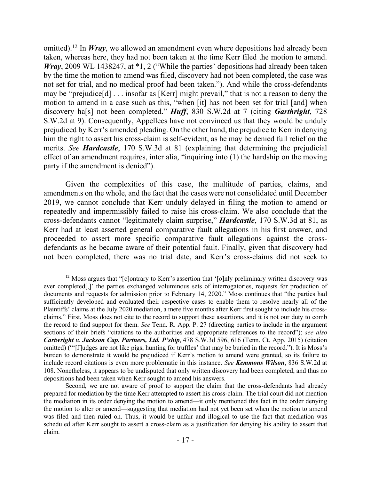omitted). <sup>12</sup> In *Wray*, we allowed an amendment even where depositions had already been taken, whereas here, they had not been taken at the time Kerr filed the motion to amend. *Wray*, 2009 WL 1438247, at \*1, 2 ("While the parties' depositions had already been taken by the time the motion to amend was filed, discovery had not been completed, the case was not set for trial, and no medical proof had been taken."). And while the cross-defendants may be "prejudice[d] . . . insofar as [Kerr] might prevail," that is not a reason to deny the motion to amend in a case such as this, "when [it] has not been set for trial [and] when discovery ha[s] not been completed." *Huff*, 830 S.W.2d at 7 (citing *Garthright*, 728 S.W.2d at 9). Consequently, Appellees have not convinced us that they would be unduly prejudiced by Kerr's amended pleading. On the other hand, the prejudice to Kerr in denying him the right to assert his cross-claim is self-evident, as he may be denied full relief on the merits. *See Hardcastle*, 170 S.W.3d at 81 (explaining that determining the prejudicial effect of an amendment requires, inter alia, "inquiring into (1) the hardship on the moving party if the amendment is denied").

Given the complexities of this case, the multitude of parties, claims, and amendments on the whole, and the fact that the cases were not consolidated until December 2019, we cannot conclude that Kerr unduly delayed in filing the motion to amend or repeatedly and impermissibly failed to raise his cross-claim. We also conclude that the cross-defendants cannot "legitimately claim surprise," *Hardcastle*, 170 S.W.3d at 81, as Kerr had at least asserted general comparative fault allegations in his first answer, and proceeded to assert more specific comparative fault allegations against the crossdefendants as he became aware of their potential fault. Finally, given that discovery had not been completed, there was no trial date, and Kerr's cross-claims did not seek to

 $\overline{a}$ 

<sup>&</sup>lt;sup>12</sup> Moss argues that "[c]ontrary to Kerr's assertion that '[o]nly preliminary written discovery was ever completed[,]' the parties exchanged voluminous sets of interrogatories, requests for production of documents and requests for admission prior to February 14, 2020." Moss continues that "the parties had sufficiently developed and evaluated their respective cases to enable them to resolve nearly all of the Plaintiffs' claims at the July 2020 mediation, a mere five months after Kerr first sought to include his crossclaims." First, Moss does not cite to the record to support these assertions, and it is not our duty to comb the record to find support for them. *See* Tenn. R. App. P. 27 (directing parties to include in the argument sections of their briefs "citations to the authorities and appropriate references to the record"); *see also Cartwright v. Jackson Cap. Partners, Ltd. P'ship*, 478 S.W.3d 596, 616 (Tenn. Ct. App. 2015) (citation omitted) ("'[J]udges are not like pigs, hunting for truffles' that may be buried in the record."). It is Moss's burden to demonstrate it would be prejudiced if Kerr's motion to amend were granted, so its failure to include record citations is even more problematic in this instance. *See Kemmons Wilson*, 836 S.W.2d at 108. Nonetheless, it appears to be undisputed that only written discovery had been completed, and thus no depositions had been taken when Kerr sought to amend his answers.

Second, we are not aware of proof to support the claim that the cross-defendants had already prepared for mediation by the time Kerr attempted to assert his cross-claim. The trial court did not mention the mediation in its order denying the motion to amend—it only mentioned this fact in the order denying the motion to alter or amend—suggesting that mediation had not yet been set when the motion to amend was filed and then ruled on. Thus, it would be unfair and illogical to use the fact that mediation was scheduled after Kerr sought to assert a cross-claim as a justification for denying his ability to assert that claim.